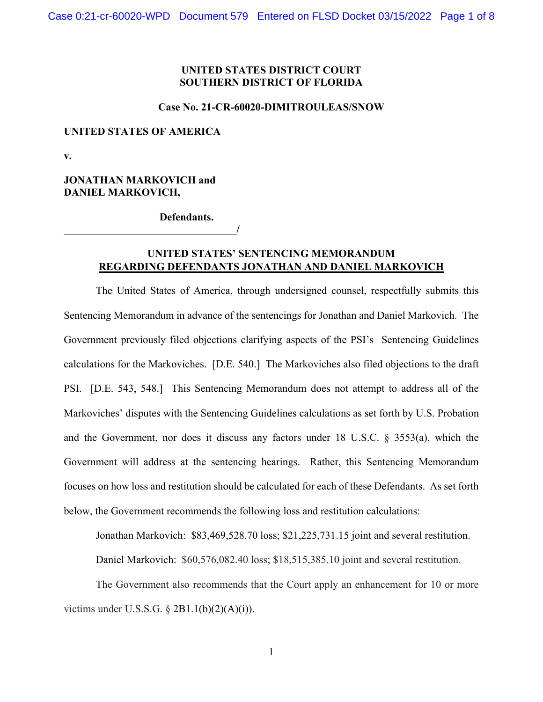# **UNITED STATES DISTRICT COURT SOUTHERN DISTRICT OF FLORIDA**

#### **Case No. 21-CR-60020-DIMITROULEAS/SNOW**

#### **UNITED STATES OF AMERICA**

**v.** 

# **JONATHAN MARKOVICH and DANIEL MARKOVICH,**

 **Defendants.** 

**/** 

# **UNITED STATES' SENTENCING MEMORANDUM REGARDING DEFENDANTS JONATHAN AND DANIEL MARKOVICH**

The United States of America, through undersigned counsel, respectfully submits this Sentencing Memorandum in advance of the sentencings for Jonathan and Daniel Markovich. The Government previously filed objections clarifying aspects of the PSI's Sentencing Guidelines calculations for the Markoviches. [D.E. 540.] The Markoviches also filed objections to the draft PSI. [D.E. 543, 548.] This Sentencing Memorandum does not attempt to address all of the Markoviches' disputes with the Sentencing Guidelines calculations as set forth by U.S. Probation and the Government, nor does it discuss any factors under 18 U.S.C. § 3553(a), which the Government will address at the sentencing hearings. Rather, this Sentencing Memorandum focuses on how loss and restitution should be calculated for each of these Defendants. As set forth below, the Government recommends the following loss and restitution calculations:

Jonathan Markovich: \$83,469,528.70 loss; \$21,225,731.15 joint and several restitution.

Daniel Markovich: \$60,576,082.40 loss; \$18,515,385.10 joint and several restitution.

 The Government also recommends that the Court apply an enhancement for 10 or more victims under U.S.S.G.  $\S 2B1.1(b)(2)(A)(i)$ .

1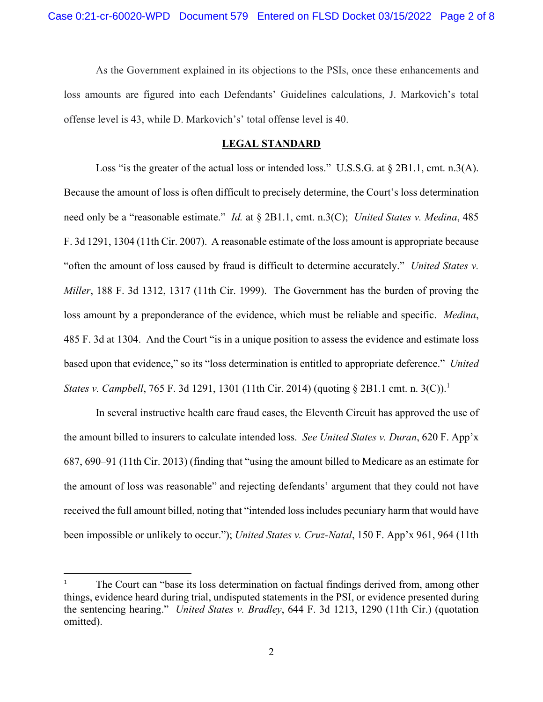As the Government explained in its objections to the PSIs, once these enhancements and loss amounts are figured into each Defendants' Guidelines calculations, J. Markovich's total offense level is 43, while D. Markovich's' total offense level is 40.

#### **LEGAL STANDARD**

Loss "is the greater of the actual loss or intended loss." U.S.S.G. at § 2B1.1, cmt. n.3(A). Because the amount of loss is often difficult to precisely determine, the Court's loss determination need only be a "reasonable estimate." *Id.* at § 2B1.1, cmt. n.3(C); *United States v. Medina*, 485 F. 3d 1291, 1304 (11th Cir. 2007). A reasonable estimate of the loss amount is appropriate because "often the amount of loss caused by fraud is difficult to determine accurately." *United States v. Miller*, 188 F. 3d 1312, 1317 (11th Cir. 1999). The Government has the burden of proving the loss amount by a preponderance of the evidence, which must be reliable and specific. *Medina*, 485 F. 3d at 1304. And the Court "is in a unique position to assess the evidence and estimate loss based upon that evidence," so its "loss determination is entitled to appropriate deference." *United States v. Campbell*, 765 F. 3d 1291, 1301 (11th Cir. 2014) (quoting § 2B1.1 cmt. n. 3(C)).<sup>1</sup>

In several instructive health care fraud cases, the Eleventh Circuit has approved the use of the amount billed to insurers to calculate intended loss. *See United States v. Duran*, 620 F. App'x 687, 690–91 (11th Cir. 2013) (finding that "using the amount billed to Medicare as an estimate for the amount of loss was reasonable" and rejecting defendants' argument that they could not have received the full amount billed, noting that "intended loss includes pecuniary harm that would have been impossible or unlikely to occur."); *United States v. Cruz-Natal*, 150 F. App'x 961, 964 (11th

<sup>1</sup> The Court can "base its loss determination on factual findings derived from, among other things, evidence heard during trial, undisputed statements in the PSI, or evidence presented during the sentencing hearing." *United States v. Bradley*, 644 F. 3d 1213, 1290 (11th Cir.) (quotation omitted).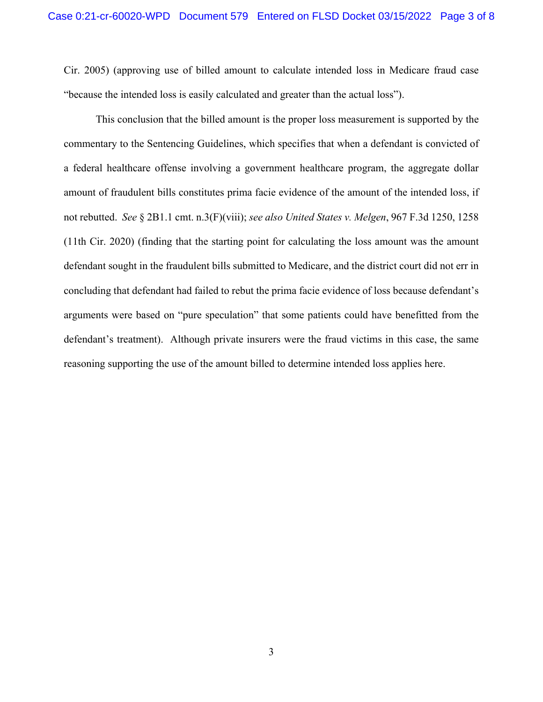Cir. 2005) (approving use of billed amount to calculate intended loss in Medicare fraud case "because the intended loss is easily calculated and greater than the actual loss").

This conclusion that the billed amount is the proper loss measurement is supported by the commentary to the Sentencing Guidelines, which specifies that when a defendant is convicted of a federal healthcare offense involving a government healthcare program, the aggregate dollar amount of fraudulent bills constitutes prima facie evidence of the amount of the intended loss, if not rebutted. *See* § 2B1.1 cmt. n.3(F)(viii); *see also United States v. Melgen*, 967 F.3d 1250, 1258 (11th Cir. 2020) (finding that the starting point for calculating the loss amount was the amount defendant sought in the fraudulent bills submitted to Medicare, and the district court did not err in concluding that defendant had failed to rebut the prima facie evidence of loss because defendant's arguments were based on "pure speculation" that some patients could have benefitted from the defendant's treatment). Although private insurers were the fraud victims in this case, the same reasoning supporting the use of the amount billed to determine intended loss applies here.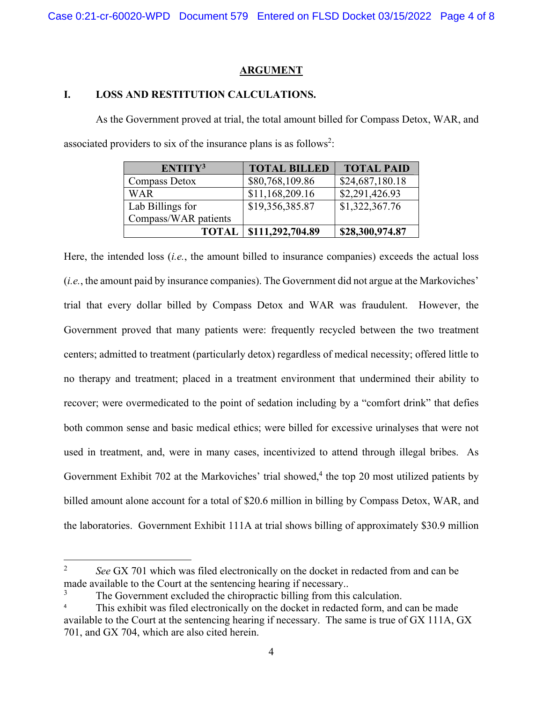### **ARGUMENT**

# **I. LOSS AND RESTITUTION CALCULATIONS.**

As the Government proved at trial, the total amount billed for Compass Detox, WAR, and associated providers to six of the insurance plans is as follows<sup>2</sup>:

| ENTITY <sup>3</sup>  | <b>TOTAL BILLED</b> | <b>TOTAL PAID</b> |
|----------------------|---------------------|-------------------|
| Compass Detox        | \$80,768,109.86     | \$24,687,180.18   |
| WAR                  | \$11,168,209.16     | \$2,291,426.93    |
| Lab Billings for     | \$19,356,385.87     | \$1,322,367.76    |
| Compass/WAR patients |                     |                   |
| <b>TOTAL</b>         | \$111,292,704.89    | \$28,300,974.87   |

Here, the intended loss (*i.e.*, the amount billed to insurance companies) exceeds the actual loss (*i.e.*, the amount paid by insurance companies). The Government did not argue at the Markoviches' trial that every dollar billed by Compass Detox and WAR was fraudulent. However, the Government proved that many patients were: frequently recycled between the two treatment centers; admitted to treatment (particularly detox) regardless of medical necessity; offered little to no therapy and treatment; placed in a treatment environment that undermined their ability to recover; were overmedicated to the point of sedation including by a "comfort drink" that defies both common sense and basic medical ethics; were billed for excessive urinalyses that were not used in treatment, and, were in many cases, incentivized to attend through illegal bribes. As Government Exhibit 702 at the Markoviches' trial showed,<sup>4</sup> the top 20 most utilized patients by billed amount alone account for a total of \$20.6 million in billing by Compass Detox, WAR, and the laboratories. Government Exhibit 111A at trial shows billing of approximately \$30.9 million

<sup>2</sup> *See* GX 701 which was filed electronically on the docket in redacted from and can be made available to the Court at the sentencing hearing if necessary..

<sup>3</sup> The Government excluded the chiropractic billing from this calculation.

<sup>4</sup> This exhibit was filed electronically on the docket in redacted form, and can be made available to the Court at the sentencing hearing if necessary. The same is true of GX 111A, GX 701, and GX 704, which are also cited herein.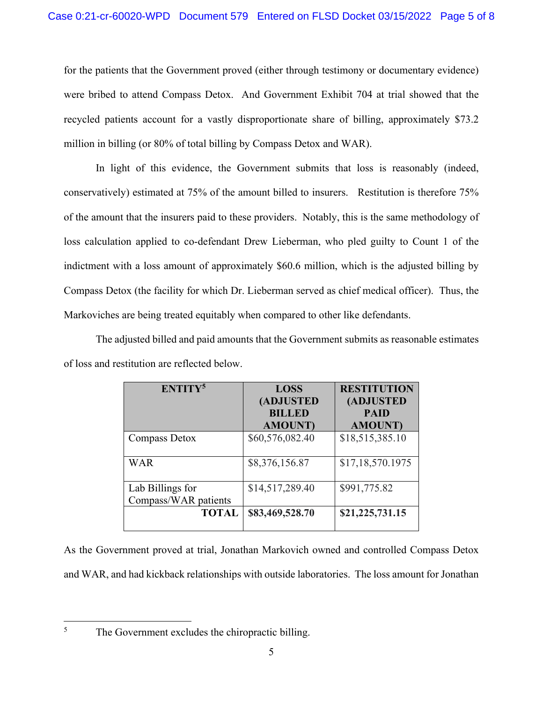for the patients that the Government proved (either through testimony or documentary evidence) were bribed to attend Compass Detox. And Government Exhibit 704 at trial showed that the recycled patients account for a vastly disproportionate share of billing, approximately \$73.2 million in billing (or 80% of total billing by Compass Detox and WAR).

In light of this evidence, the Government submits that loss is reasonably (indeed, conservatively) estimated at 75% of the amount billed to insurers. Restitution is therefore 75% of the amount that the insurers paid to these providers. Notably, this is the same methodology of loss calculation applied to co-defendant Drew Lieberman, who pled guilty to Count 1 of the indictment with a loss amount of approximately \$60.6 million, which is the adjusted billing by Compass Detox (the facility for which Dr. Lieberman served as chief medical officer). Thus, the Markoviches are being treated equitably when compared to other like defendants.

The adjusted billed and paid amounts that the Government submits as reasonable estimates of loss and restitution are reflected below.

| ENTITY <sup>5</sup>  | <b>LOSS</b><br>(ADJUSTED<br><b>BILLED</b><br><b>AMOUNT</b> ) | <b>RESTITUTION</b><br>(ADJUSTED<br><b>PAID</b><br><b>AMOUNT</b> ) |
|----------------------|--------------------------------------------------------------|-------------------------------------------------------------------|
| Compass Detox        | \$60,576,082.40                                              | \$18,515,385.10                                                   |
| <b>WAR</b>           | \$8,376,156.87                                               | \$17,18,570.1975                                                  |
| Lab Billings for     | \$14,517,289.40                                              | \$991,775.82                                                      |
| Compass/WAR patients |                                                              |                                                                   |
| <b>TOTAL</b>         | \$83,469,528.70                                              | \$21,225,731.15                                                   |

As the Government proved at trial, Jonathan Markovich owned and controlled Compass Detox and WAR, and had kickback relationships with outside laboratories. The loss amount for Jonathan

5

The Government excludes the chiropractic billing.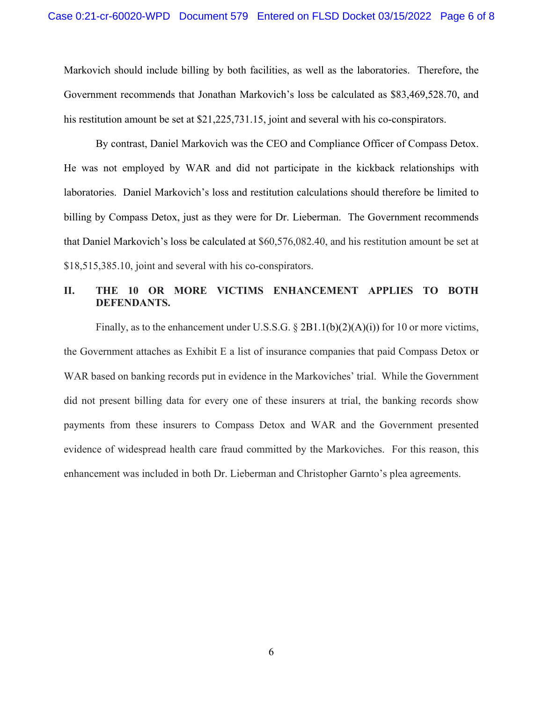Markovich should include billing by both facilities, as well as the laboratories. Therefore, the Government recommends that Jonathan Markovich's loss be calculated as \$83,469,528.70, and his restitution amount be set at \$21,225,731.15, joint and several with his co-conspirators.

By contrast, Daniel Markovich was the CEO and Compliance Officer of Compass Detox. He was not employed by WAR and did not participate in the kickback relationships with laboratories. Daniel Markovich's loss and restitution calculations should therefore be limited to billing by Compass Detox, just as they were for Dr. Lieberman. The Government recommends that Daniel Markovich's loss be calculated at \$60,576,082.40, and his restitution amount be set at \$18,515,385.10, joint and several with his co-conspirators.

# **II. THE 10 OR MORE VICTIMS ENHANCEMENT APPLIES TO BOTH DEFENDANTS.**

Finally, as to the enhancement under U.S.S.G. § 2B1.1(b)(2)(A)(i)) for 10 or more victims, the Government attaches as Exhibit E a list of insurance companies that paid Compass Detox or WAR based on banking records put in evidence in the Markoviches' trial. While the Government did not present billing data for every one of these insurers at trial, the banking records show payments from these insurers to Compass Detox and WAR and the Government presented evidence of widespread health care fraud committed by the Markoviches. For this reason, this enhancement was included in both Dr. Lieberman and Christopher Garnto's plea agreements.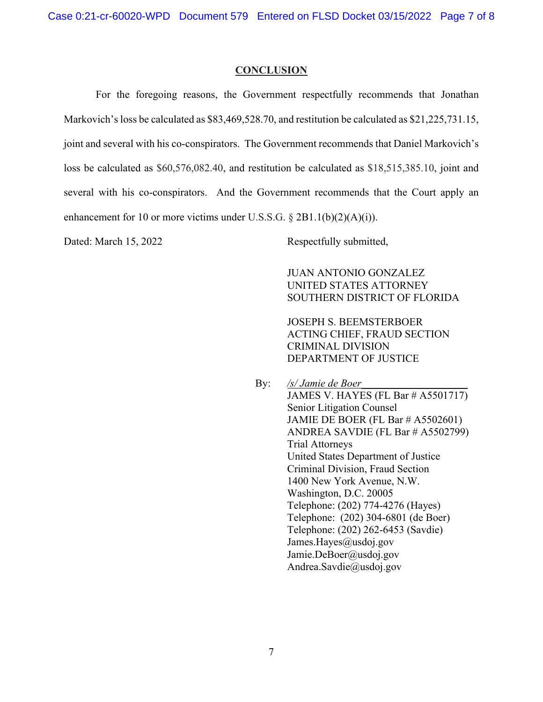Case 0:21-cr-60020-WPD Document 579 Entered on FLSD Docket 03/15/2022 Page 7 of 8

#### **CONCLUSION**

 For the foregoing reasons, the Government respectfully recommends that Jonathan Markovich's loss be calculated as \$83,469,528.70, and restitution be calculated as \$21,225,731.15, joint and several with his co-conspirators. The Government recommends that Daniel Markovich's loss be calculated as \$60,576,082.40, and restitution be calculated as \$18,515,385.10, joint and several with his co-conspirators. And the Government recommends that the Court apply an enhancement for 10 or more victims under U.S.S.G.  $\S 2B1.1(b)(2)(A)(i)$ .

Dated: March 15, 2022 Respectfully submitted,

 JUAN ANTONIO GONZALEZ UNITED STATES ATTORNEY SOUTHERN DISTRICT OF FLORIDA

 JOSEPH S. BEEMSTERBOER ACTING CHIEF, FRAUD SECTION CRIMINAL DIVISION DEPARTMENT OF JUSTICE

By: */s/ Jamie de Boer* JAMES V. HAYES (FL Bar # A5501717) Senior Litigation Counsel JAMIE DE BOER (FL Bar # A5502601) ANDREA SAVDIE (FL Bar # A5502799) Trial Attorneys United States Department of Justice Criminal Division, Fraud Section 1400 New York Avenue, N.W. Washington, D.C. 20005 Telephone: (202) 774-4276 (Hayes) Telephone: (202) 304-6801 (de Boer) Telephone: (202) 262-6453 (Savdie) James.Hayes@usdoj.gov Jamie.DeBoer@usdoj.gov Andrea.Savdie@usdoj.gov